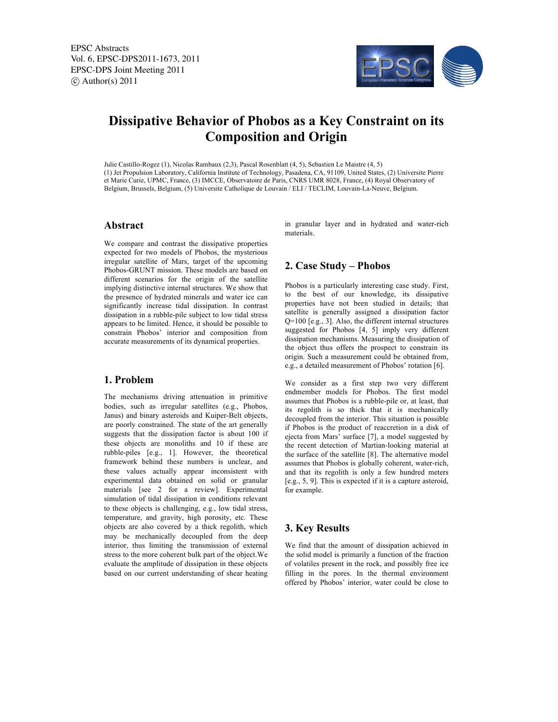

# **Dissipative Behavior of Phobos as a Key Constraint on its Composition and Origin**

Julie Castillo-Rogez (1), Nicolas Rambaux (2,3), Pascal Rosenblatt (4, 5), Sebastien Le Maistre (4, 5) (1) Jet Propulsion Laboratory, California Institute of Technology, Pasadena, CA, 91109, United States, (2) Universite Pierre et Marie Curie, UPMC, France, (3) IMCCE, Observatoire de Paris, CNRS UMR 8028, France, (4) Royal Observatory of Belgium, Brussels, Belgium, (5) Universite Catholique de Louvain / ELI / TECLIM, Louvain-La-Neuve, Belgium.

#### **Abstract**

We compare and contrast the dissipative properties expected for two models of Phobos, the mysterious irregular satellite of Mars, target of the upcoming Phobos-GRUNT mission. These models are based on different scenarios for the origin of the satellite implying distinctive internal structures. We show that the presence of hydrated minerals and water ice can significantly increase tidal dissipation. In contrast dissipation in a rubble-pile subject to low tidal stress appears to be limited. Hence, it should be possible to constrain Phobos' interior and composition from accurate measurements of its dynamical properties.

#### **1. Problem**

The mechanisms driving attenuation in primitive bodies, such as irregular satellites (e.g., Phobos, Janus) and binary asteroids and Kuiper-Belt objects, are poorly constrained. The state of the art generally suggests that the dissipation factor is about 100 if these objects are monoliths and 10 if these are rubble-piles [e.g., 1]. However, the theoretical framework behind these numbers is unclear, and these values actually appear inconsistent with experimental data obtained on solid or granular materials [see 2 for a review]. Experimental simulation of tidal dissipation in conditions relevant to these objects is challenging, e.g., low tidal stress, temperature, and gravity, high porosity, etc. These objects are also covered by a thick regolith, which may be mechanically decoupled from the deep interior, thus limiting the transmission of external stress to the more coherent bulk part of the object.We evaluate the amplitude of dissipation in these objects based on our current understanding of shear heating

in granular layer and in hydrated and water-rich materials.

## **2. Case Study – Phobos**

Phobos is a particularly interesting case study. First, to the best of our knowledge, its dissipative properties have not been studied in details; that satellite is generally assigned a dissipation factor Q=100 [e.g., 3]. Also, the different internal structures suggested for Phobos [4, 5] imply very different dissipation mechanisms. Measuring the dissipation of the object thus offers the prospect to constrain its origin. Such a measurement could be obtained from, e.g., a detailed measurement of Phobos' rotation [6].

We consider as a first step two very different endmember models for Phobos. The first model assumes that Phobos is a rubble-pile or, at least, that its regolith is so thick that it is mechanically decoupled from the interior. This situation is possible if Phobos is the product of reaccretion in a disk of ejecta from Mars' surface [7], a model suggested by the recent detection of Martian-looking material at the surface of the satellite [8]. The alternative model assumes that Phobos is globally coherent, water-rich, and that its regolith is only a few hundred meters [e.g., 5, 9]. This is expected if it is a capture asteroid, for example.

#### **3. Key Results**

We find that the amount of dissipation achieved in the solid model is primarily a function of the fraction of volatiles present in the rock, and possibly free ice filling in the pores. In the thermal environment offered by Phobos' interior, water could be close to